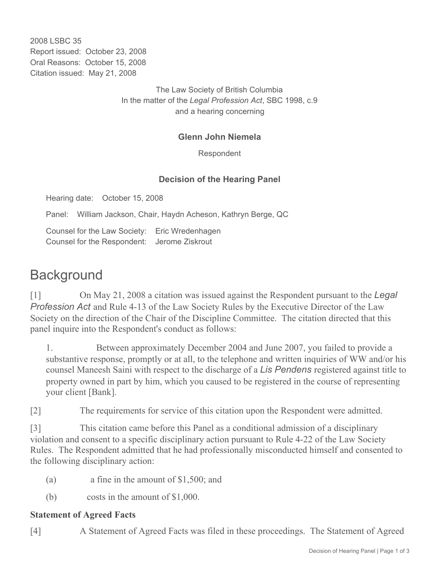2008 LSBC 35 Report issued: October 23, 2008 Oral Reasons: October 15, 2008 Citation issued: May 21, 2008

> The Law Society of British Columbia In the matter of the *Legal Profession Act*, SBC 1998, c.9 and a hearing concerning

## **Glenn John Niemela**

Respondent

## **Decision of the Hearing Panel**

Hearing date: October 15, 2008

Panel: William Jackson, Chair, Haydn Acheson, Kathryn Berge, QC

Counsel for the Law Society: Eric Wredenhagen Counsel for the Respondent: Jerome Ziskrout

# **Background**

[1] On May 21, 2008 a citation was issued against the Respondent pursuant to the *Legal Profession Act* and Rule 4-13 of the Law Society Rules by the Executive Director of the Law Society on the direction of the Chair of the Discipline Committee. The citation directed that this panel inquire into the Respondent's conduct as follows:

1. Between approximately December 2004 and June 2007, you failed to provide a substantive response, promptly or at all, to the telephone and written inquiries of WW and/or his counsel Maneesh Saini with respect to the discharge of a *Lis Pendens* registered against title to property owned in part by him, which you caused to be registered in the course of representing your client [Bank].

[2] The requirements for service of this citation upon the Respondent were admitted.

[3] This citation came before this Panel as a conditional admission of a disciplinary violation and consent to a specific disciplinary action pursuant to Rule 4-22 of the Law Society Rules. The Respondent admitted that he had professionally misconducted himself and consented to the following disciplinary action:

- (a)  $\alpha$  fine in the amount of \$1,500; and
- (b)  $\cos ts$  in the amount of \$1,000.

#### **Statement of Agreed Facts**

[4] A Statement of Agreed Facts was filed in these proceedings. The Statement of Agreed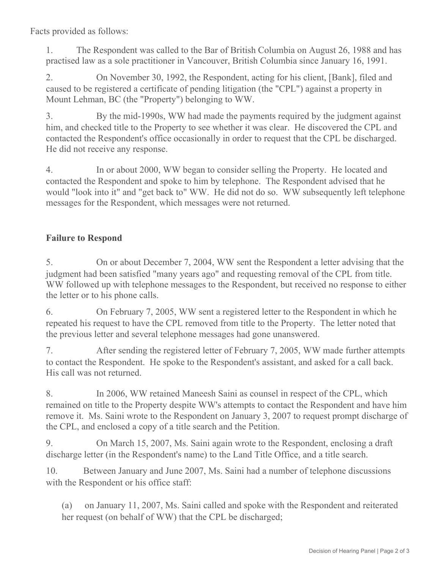Facts provided as follows:

1. The Respondent was called to the Bar of British Columbia on August 26, 1988 and has practised law as a sole practitioner in Vancouver, British Columbia since January 16, 1991.

2. On November 30, 1992, the Respondent, acting for his client, [Bank], filed and caused to be registered a certificate of pending litigation (the "CPL") against a property in Mount Lehman, BC (the "Property") belonging to WW.

3. By the mid-1990s, WW had made the payments required by the judgment against him, and checked title to the Property to see whether it was clear. He discovered the CPL and contacted the Respondent's office occasionally in order to request that the CPL be discharged. He did not receive any response.

4. In or about 2000, WW began to consider selling the Property. He located and contacted the Respondent and spoke to him by telephone. The Respondent advised that he would "look into it" and "get back to" WW. He did not do so. WW subsequently left telephone messages for the Respondent, which messages were not returned.

# **Failure to Respond**

5. On or about December 7, 2004, WW sent the Respondent a letter advising that the judgment had been satisfied "many years ago" and requesting removal of the CPL from title. WW followed up with telephone messages to the Respondent, but received no response to either the letter or to his phone calls.

6. On February 7, 2005, WW sent a registered letter to the Respondent in which he repeated his request to have the CPL removed from title to the Property. The letter noted that the previous letter and several telephone messages had gone unanswered.

7. After sending the registered letter of February 7, 2005, WW made further attempts to contact the Respondent. He spoke to the Respondent's assistant, and asked for a call back. His call was not returned.

8. In 2006, WW retained Maneesh Saini as counsel in respect of the CPL, which remained on title to the Property despite WW's attempts to contact the Respondent and have him remove it. Ms. Saini wrote to the Respondent on January 3, 2007 to request prompt discharge of the CPL, and enclosed a copy of a title search and the Petition.

9. On March 15, 2007, Ms. Saini again wrote to the Respondent, enclosing a draft discharge letter (in the Respondent's name) to the Land Title Office, and a title search.

10. Between January and June 2007, Ms. Saini had a number of telephone discussions with the Respondent or his office staff:

(a) on January 11, 2007, Ms. Saini called and spoke with the Respondent and reiterated her request (on behalf of WW) that the CPL be discharged;